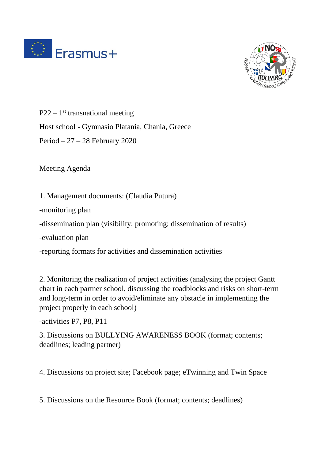



 $P22 - 1$ <sup>st</sup> transnational meeting Host school - Gymnasio Platania, Chania, Greece

Period – 27 – 28 February 2020

Meeting Agenda

1. Management documents: (Claudia Putura)

-monitoring plan

-dissemination plan (visibility; promoting; dissemination of results)

-evaluation plan

-reporting formats for activities and dissemination activities

2. Monitoring the realization of project activities (analysing the project Gantt chart in each partner school, discussing the roadblocks and risks on short-term and long-term in order to avoid/eliminate any obstacle in implementing the project properly in each school)

-activities P7, P8, P11

3. Discussions on BULLYING AWARENESS BOOK (format; contents; deadlines; leading partner)

4. Discussions on project site; Facebook page; eTwinning and Twin Space

5. Discussions on the Resource Book (format; contents; deadlines)